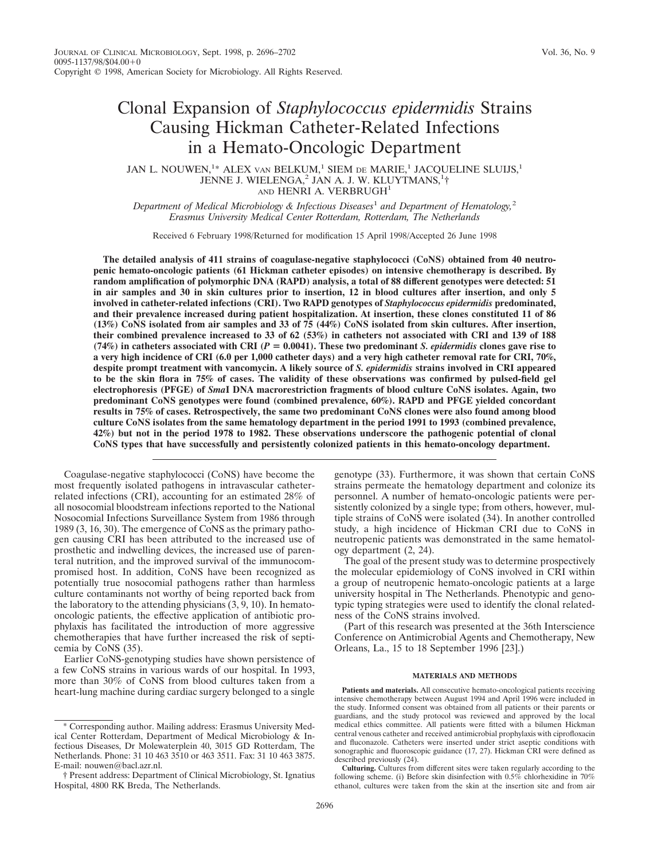# Clonal Expansion of *Staphylococcus epidermidis* Strains Causing Hickman Catheter-Related Infections in a Hemato-Oncologic Department

## JAN L. NOUWEN,<sup>1</sup>\* ALEX van BELKUM,<sup>1</sup> SIEM de MARIE,<sup>1</sup> JACQUELINE SLUIJS,<sup>1</sup> JENNE J. WIELENGA,<sup>2</sup> JAN A. J. W. KLUYTMANS,<sup>1</sup>† AND HENRI A. VERBRUGH<sup>1</sup>

*Department of Medical Microbiology & Infectious Diseases*<sup>1</sup> *and Department of Hematology,*<sup>2</sup> *Erasmus University Medical Center Rotterdam, Rotterdam, The Netherlands*

Received 6 February 1998/Returned for modification 15 April 1998/Accepted 26 June 1998

**The detailed analysis of 411 strains of coagulase-negative staphylococci (CoNS) obtained from 40 neutropenic hemato-oncologic patients (61 Hickman catheter episodes) on intensive chemotherapy is described. By random amplification of polymorphic DNA (RAPD) analysis, a total of 88 different genotypes were detected: 51 in air samples and 30 in skin cultures prior to insertion, 12 in blood cultures after insertion, and only 5 involved in catheter-related infections (CRI). Two RAPD genotypes of** *Staphylococcus epidermidis* **predominated, and their prevalence increased during patient hospitalization. At insertion, these clones constituted 11 of 86 (13%) CoNS isolated from air samples and 33 of 75 (44%) CoNS isolated from skin cultures. After insertion, their combined prevalence increased to 33 of 62 (53%) in catheters not associated with CRI and 139 of 188** (74%) in catheters associated with CRI  $(P = 0.0041)$ . These two predominant *S. epidermidis* clones gave rise to **a very high incidence of CRI (6.0 per 1,000 catheter days) and a very high catheter removal rate for CRI, 70%, despite prompt treatment with vancomycin. A likely source of** *S. epidermidis* **strains involved in CRI appeared to be the skin flora in 75% of cases. The validity of these observations was confirmed by pulsed-field gel electrophoresis (PFGE) of** *Sma***I DNA macrorestriction fragments of blood culture CoNS isolates. Again, two predominant CoNS genotypes were found (combined prevalence, 60%). RAPD and PFGE yielded concordant results in 75% of cases. Retrospectively, the same two predominant CoNS clones were also found among blood culture CoNS isolates from the same hematology department in the period 1991 to 1993 (combined prevalence, 42%) but not in the period 1978 to 1982. These observations underscore the pathogenic potential of clonal CoNS types that have successfully and persistently colonized patients in this hemato-oncology department.**

Coagulase-negative staphylococci (CoNS) have become the most frequently isolated pathogens in intravascular catheterrelated infections (CRI), accounting for an estimated 28% of all nosocomial bloodstream infections reported to the National Nosocomial Infections Surveillance System from 1986 through 1989 (3, 16, 30). The emergence of CoNS as the primary pathogen causing CRI has been attributed to the increased use of prosthetic and indwelling devices, the increased use of parenteral nutrition, and the improved survival of the immunocompromised host. In addition, CoNS have been recognized as potentially true nosocomial pathogens rather than harmless culture contaminants not worthy of being reported back from the laboratory to the attending physicians  $(3, 9, 10)$ . In hematooncologic patients, the effective application of antibiotic prophylaxis has facilitated the introduction of more aggressive chemotherapies that have further increased the risk of septicemia by CoNS (35).

Earlier CoNS-genotyping studies have shown persistence of a few CoNS strains in various wards of our hospital. In 1993, more than 30% of CoNS from blood cultures taken from a heart-lung machine during cardiac surgery belonged to a single

genotype (33). Furthermore, it was shown that certain CoNS strains permeate the hematology department and colonize its personnel. A number of hemato-oncologic patients were persistently colonized by a single type; from others, however, multiple strains of CoNS were isolated (34). In another controlled study, a high incidence of Hickman CRI due to CoNS in neutropenic patients was demonstrated in the same hematology department (2, 24).

The goal of the present study was to determine prospectively the molecular epidemiology of CoNS involved in CRI within a group of neutropenic hemato-oncologic patients at a large university hospital in The Netherlands. Phenotypic and genotypic typing strategies were used to identify the clonal relatedness of the CoNS strains involved.

(Part of this research was presented at the 36th Interscience Conference on Antimicrobial Agents and Chemotherapy, New Orleans, La., 15 to 18 September 1996 [23].)

#### **MATERIALS AND METHODS**

<sup>\*</sup> Corresponding author. Mailing address: Erasmus University Medical Center Rotterdam, Department of Medical Microbiology & Infectious Diseases, Dr Molewaterplein 40, 3015 GD Rotterdam, The Netherlands. Phone: 31 10 463 3510 or 463 3511. Fax: 31 10 463 3875. E-mail: nouwen@bacl.azr.nl.

<sup>†</sup> Present address: Department of Clinical Microbiology, St. Ignatius Hospital, 4800 RK Breda, The Netherlands.

**Patients and materials.** All consecutive hemato-oncological patients receiving intensive chemotherapy between August 1994 and April 1996 were included in the study. Informed consent was obtained from all patients or their parents or guardians, and the study protocol was reviewed and approved by the local medical ethics committee. All patients were fitted with a bilumen Hickman central venous catheter and received antimicrobial prophylaxis with ciprofloxacin and fluconazole. Catheters were inserted under strict aseptic conditions with sonographic and fluoroscopic guidance  $(17, 27)$ . Hickman CRI were defined as described previously (24).

**Culturing.** Cultures from different sites were taken regularly according to the following scheme. (i) Before skin disinfection with 0.5% chlorhexidine in 70% ethanol, cultures were taken from the skin at the insertion site and from air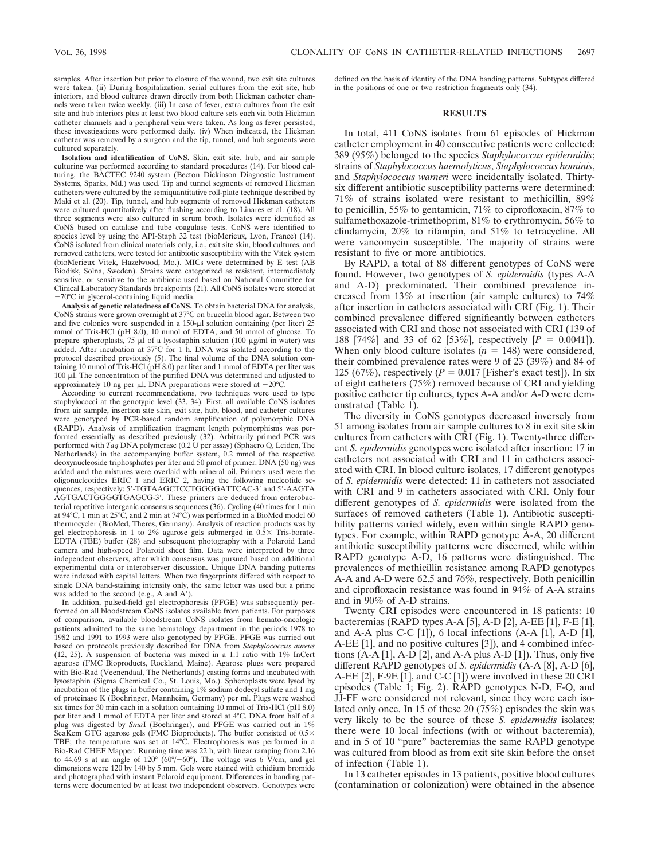samples. After insertion but prior to closure of the wound, two exit site cultures were taken. (ii) During hospitalization, serial cultures from the exit site, hub interiors, and blood cultures drawn directly from both Hickman catheter channels were taken twice weekly. (iii) In case of fever, extra cultures from the exit site and hub interiors plus at least two blood culture sets each via both Hickman catheter channels and a peripheral vein were taken. As long as fever persisted, these investigations were performed daily. (iv) When indicated, the Hickman catheter was removed by a surgeon and the tip, tunnel, and hub segments were cultured separately.

**Isolation and identification of CoNS.** Skin, exit site, hub, and air sample culturing was performed according to standard procedures (14). For blood culturing, the BACTEC 9240 system (Becton Dickinson Diagnostic Instrument Systems, Sparks, Md.) was used. Tip and tunnel segments of removed Hickman catheters were cultured by the semiquantitative roll-plate technique described by Maki et al. (20). Tip, tunnel, and hub segments of removed Hickman catheters were cultured quantitatively after flushing according to Linares et al. (18). All three segments were also cultured in serum broth. Isolates were identified as CoNS based on catalase and tube coagulase tests. CoNS were identified to species level by using the API-Staph 32 test (bioMerieux, Lyon, France) (14). CoNS isolated from clinical materials only, i.e., exit site skin, blood cultures, and removed catheters, were tested for antibiotic susceptibility with the Vitek system (bioMerieux Vitek, Hazelwood, Mo.). MICs were determined by E test (AB Biodisk, Solna, Sweden). Strains were categorized as resistant, intermediately sensitive, or sensitive to the antibiotic used based on National Committee for Clinical Laboratory Standards breakpoints (21). All CoNS isolates were stored at -70°C in glycerol-containing liquid media

**Analysis of genetic relatedness of CoNS.** To obtain bacterial DNA for analysis, CoNS strains were grown overnight at 37°C on brucella blood agar. Between two and five colonies were suspended in a  $150-\mu l$  solution containing (per liter) 25 mmol of Tris-HCl (pH 8.0), 10 mmol of EDTA, and 50 mmol of glucose. To prepare spheroplasts, 75  $\mu$ l of a lysostaphin solution (100  $\mu$ g/ml in water) was added. After incubation at 37°C for 1 h, DNA was isolated according to the protocol described previously (5). The final volume of the DNA solution containing 10 mmol of Tris-HCl (pH 8.0) per liter and 1 mmol of EDTA per liter was 100  $\mu$ I. The concentration of the purified DNA was determined and adjusted to approximately 10 ng per  $\mu$ l. DNA preparations were stored at  $-20^{\circ}$ C

According to current recommendations, two techniques were used to type staphylococci at the genotypic level (33, 34). First, all available CoNS isolates from air sample, insertion site skin, exit site, hub, blood, and catheter cultures were genotyped by PCR-based random amplification of polymorphic DNA (RAPD). Analysis of amplification fragment length polymorphisms was performed essentially as described previously (32). Arbitrarily primed PCR was performed with *Taq* DNA polymerase (0.2 U per assay) (Sphaero Q, Leiden, The Netherlands) in the accompanying buffer system, 0.2 mmol of the respective deoxynucleoside triphosphates per liter and 50 pmol of primer. DNA (50 ng) was added and the mixtures were overlaid with mineral oil. Primers used were the oligonucleotides ERIC 1 and ERIC 2, having the following nucleotide sequences, respectively: 5'-TGTAAGCTCCTGGGGATTCAC-3' and 5'-AAGTA AGTGACTGGGGTGAGCG-3'. These primers are deduced from enterobacterial repetitive intergenic consensus sequences (36). Cycling (40 times for 1 min at 94°C, 1 min at 25°C, and 2 min at 74°C) was performed in a BioMed model 60 thermocycler (BioMed, Theres, Germany). Analysis of reaction products was by gel electrophoresis in 1 to 2% agarose gels submerged in  $0.5 \times$  Tris-borate-EDTA (TBE) buffer (28) and subsequent photography with a Polaroid Land camera and high-speed Polaroid sheet film. Data were interpreted by three independent observers, after which consensus was pursued based on additional experimental data or interobserver discussion. Unique DNA banding patterns were indexed with capital letters. When two fingerprints differed with respect to single DNA band-staining intensity only, the same letter was used but a prime was added to the second  $(e.g., A and A')$ .

In addition, pulsed-field gel electrophoresis (PFGE) was subsequently performed on all bloodstream CoNS isolates available from patients. For purposes of comparison, available bloodstream CoNS isolates from hemato-oncologic patients admitted to the same hematology department in the periods 1978 to 1982 and 1991 to 1993 were also genotyped by PFGE. PFGE was carried out based on protocols previously described for DNA from *Staphylococcus aureus* (12, 25). A suspension of bacteria was mixed in a 1:1 ratio with 1% InCert agarose (FMC Bioproducts, Rockland, Maine). Agarose plugs were prepared with Bio-Rad (Veenendaal, The Netherlands) casting forms and incubated with lysostaphin (Sigma Chemical Co., St. Louis, Mo.). Spheroplasts were lysed by incubation of the plugs in buffer containing 1% sodium dodecyl sulfate and 1 mg of proteinase K (Boehringer, Mannheim, Germany) per ml. Plugs were washed six times for 30 min each in a solution containing 10 mmol of Tris-HCl (pH 8.0) per liter and 1 mmol of EDTA per liter and stored at 4°C. DNA from half of a plug was digested by *Sma*I (Boehringer), and PFGE was carried out in 1% SeaKem GTG agarose gels (FMC Bioproducts). The buffer consisted of  $0.5\times$ TBE; the temperature was set at 14°C. Electrophoresis was performed in a Bio-Rad CHEF Mapper. Running time was 22 h, with linear ramping from 2.16 to 44.69 s at an angle of 120 $\degree$  (60 $\degree$ /-60 $\degree$ ). The voltage was 6 V/cm, and gel dimensions were 120 by 140 by 5 mm. Gels were stained with ethidium bromide and photographed with instant Polaroid equipment. Differences in banding patterns were documented by at least two independent observers. Genotypes were

defined on the basis of identity of the DNA banding patterns. Subtypes differed in the positions of one or two restriction fragments only (34).

### **RESULTS**

In total, 411 CoNS isolates from 61 episodes of Hickman catheter employment in 40 consecutive patients were collected: 389 (95%) belonged to the species *Staphylococcus epidermidis*; strains of *Staphylococcus haemolyticus*, *Staphylococcus hominis*, and *Staphylococcus warneri* were incidentally isolated. Thirtysix different antibiotic susceptibility patterns were determined: 71% of strains isolated were resistant to methicillin, 89% to penicillin, 55% to gentamicin, 71% to ciprofloxacin, 87% to sulfamethoxazole-trimethoprim, 81% to erythromycin, 56% to clindamycin, 20% to rifampin, and 51% to tetracycline. All were vancomycin susceptible. The majority of strains were resistant to five or more antibiotics.

By RAPD, a total of 88 different genotypes of CoNS were found. However, two genotypes of *S. epidermidis* (types A-A and A-D) predominated. Their combined prevalence increased from 13% at insertion (air sample cultures) to 74% after insertion in catheters associated with CRI (Fig. 1). Their combined prevalence differed significantly between catheters associated with CRI and those not associated with CRI (139 of 188 [74%] and 33 of 62 [53%], respectively  $[P = 0.0041]$ . When only blood culture isolates  $(n = 148)$  were considered, their combined prevalence rates were 9 of 23 (39%) and 84 of 125 (67%), respectively  $(P = 0.017$  [Fisher's exact test]). In six of eight catheters (75%) removed because of CRI and yielding positive catheter tip cultures, types A-A and/or A-D were demonstrated (Table 1).

The diversity in CoNS genotypes decreased inversely from 51 among isolates from air sample cultures to 8 in exit site skin cultures from catheters with CRI (Fig. 1). Twenty-three different *S. epidermidis* genotypes were isolated after insertion: 17 in catheters not associated with CRI and 11 in catheters associated with CRI. In blood culture isolates, 17 different genotypes of *S. epidermidis* were detected: 11 in catheters not associated with CRI and 9 in catheters associated with CRI. Only four different genotypes of *S. epidermidis* were isolated from the surfaces of removed catheters (Table 1). Antibiotic susceptibility patterns varied widely, even within single RAPD genotypes. For example, within RAPD genotype A-A, 20 different antibiotic susceptibility patterns were discerned, while within RAPD genotype A-D, 16 patterns were distinguished. The prevalences of methicillin resistance among RAPD genotypes A-A and A-D were 62.5 and 76%, respectively. Both penicillin and ciprofloxacin resistance was found in 94% of A-A strains and in 90% of A-D strains.

Twenty CRI episodes were encountered in 18 patients: 10 bacteremias (RAPD types A-A [5], A-D [2], A-EE [1], F-E [1], and A-A plus C-C [1]), 6 local infections (A-A [1], A-D [1], A-EE [1], and no positive cultures [3]), and 4 combined infections  $(A-A [1], A-D [2], and A-A plus A-D [1]).$  Thus, only five different RAPD genotypes of *S. epidermidis* (A-A [8], A-D [6], A-EE [2], F-9E [1], and C-C [1]) were involved in these 20 CRI episodes (Table 1; Fig. 2). RAPD genotypes N-D, F-Q, and JJ-FF were considered not relevant, since they were each isolated only once. In 15 of these 20 (75%) episodes the skin was very likely to be the source of these *S. epidermidis* isolates; there were 10 local infections (with or without bacteremia), and in 5 of 10 "pure" bacteremias the same RAPD genotype was cultured from blood as from exit site skin before the onset of infection (Table 1).

In 13 catheter episodes in 13 patients, positive blood cultures (contamination or colonization) were obtained in the absence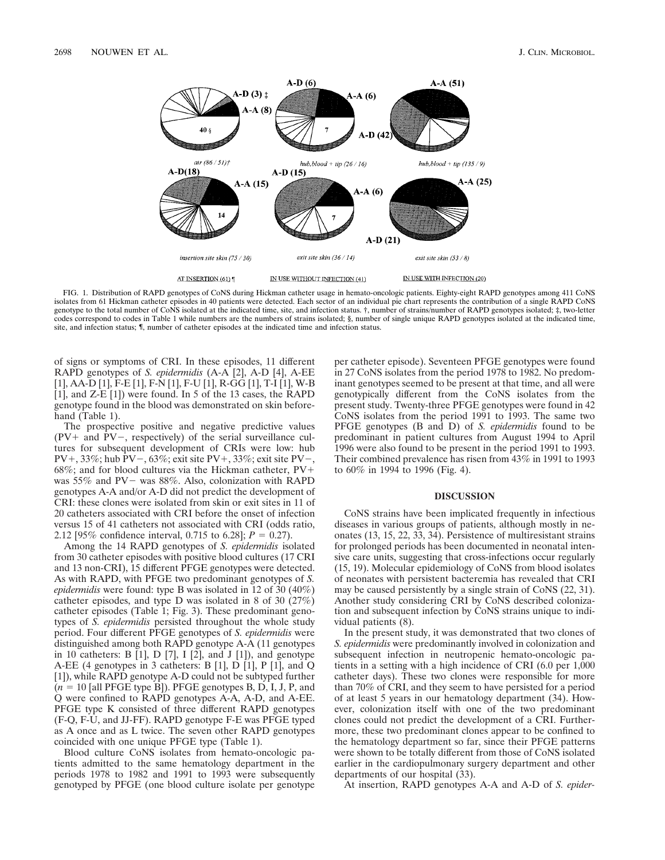

FIG. 1. Distribution of RAPD genotypes of CoNS during Hickman catheter usage in hemato-oncologic patients. Eighty-eight RAPD genotypes among 411 CoNS isolates from 61 Hickman catheter episodes in 40 patients were detected. Each sector of an individual pie chart represents the contribution of a single RAPD CoNS genotype to the total number of CoNS isolated at the indicated time, site, and infection status. †, number of strains/number of RAPD genotypes isolated; ‡, two-letter codes correspond to codes in Table 1 while numbers are the numbers of strains isolated; §, number of single unique RAPD genotypes isolated at the indicated time, site, and infection status; ¶, number of catheter episodes at the indicated time and infection status.

of signs or symptoms of CRI. In these episodes, 11 different RAPD genotypes of *S. epidermidis* (A-A [2], A-D [4], A-EE [1], AA-D [1], F-E [1], F-N [1], F-U [1], R-GG [1], T-I [1], W-B  $[1]$ , and Z-E  $[1]$ ) were found. In 5 of the 13 cases, the RAPD genotype found in the blood was demonstrated on skin beforehand (Table 1).

The prospective positive and negative predictive values  $(PV+$  and  $PV-$ , respectively) of the serial surveillance cultures for subsequent development of CRIs were low: hub PV+, 33%; hub PV-, 63%; exit site PV+, 33%; exit site PV-, 68%; and for blood cultures via the Hickman catheter,  $PV+$ was  $55\%$  and PV- was  $88\%$ . Also, colonization with RAPD genotypes A-A and/or A-D did not predict the development of CRI: these clones were isolated from skin or exit sites in 11 of 20 catheters associated with CRI before the onset of infection versus 15 of 41 catheters not associated with CRI (odds ratio, 2.12 [95% confidence interval, 0.715 to 6.28];  $P = 0.27$ .

Among the 14 RAPD genotypes of *S. epidermidis* isolated from 30 catheter episodes with positive blood cultures (17 CRI and 13 non-CRI), 15 different PFGE genotypes were detected. As with RAPD, with PFGE two predominant genotypes of *S. epidermidis* were found: type B was isolated in 12 of 30 (40%) catheter episodes, and type D was isolated in 8 of 30 (27%) catheter episodes (Table 1; Fig. 3). These predominant genotypes of *S. epidermidis* persisted throughout the whole study period. Four different PFGE genotypes of *S. epidermidis* were distinguished among both RAPD genotype A-A (11 genotypes in 10 catheters: B [1], D [7], I [2], and J [1]), and genotype A-EE (4 genotypes in 3 catheters: B [1], D [1], P [1], and Q [1]), while RAPD genotype A-D could not be subtyped further  $(n = 10$  [all PFGE type B]). PFGE genotypes B, D, I, J, P, and Q were confined to RAPD genotypes A-A, A-D, and A-EE. PFGE type K consisted of three different RAPD genotypes (F-Q, F-U, and JJ-FF). RAPD genotype F-E was PFGE typed as A once and as L twice. The seven other RAPD genotypes coincided with one unique PFGE type (Table 1).

Blood culture CoNS isolates from hemato-oncologic patients admitted to the same hematology department in the periods 1978 to 1982 and 1991 to 1993 were subsequently genotyped by PFGE (one blood culture isolate per genotype

per catheter episode). Seventeen PFGE genotypes were found in 27 CoNS isolates from the period 1978 to 1982. No predominant genotypes seemed to be present at that time, and all were genotypically different from the CoNS isolates from the present study. Twenty-three PFGE genotypes were found in 42 CoNS isolates from the period 1991 to 1993. The same two PFGE genotypes (B and D) of *S. epidermidis* found to be predominant in patient cultures from August 1994 to April 1996 were also found to be present in the period 1991 to 1993. Their combined prevalence has risen from 43% in 1991 to 1993 to 60% in 1994 to 1996 (Fig. 4).

### **DISCUSSION**

CoNS strains have been implicated frequently in infectious diseases in various groups of patients, although mostly in neonates (13, 15, 22, 33, 34). Persistence of multiresistant strains for prolonged periods has been documented in neonatal intensive care units, suggesting that cross-infections occur regularly (15, 19). Molecular epidemiology of CoNS from blood isolates of neonates with persistent bacteremia has revealed that CRI may be caused persistently by a single strain of CoNS (22, 31). Another study considering CRI by CoNS described colonization and subsequent infection by CoNS strains unique to individual patients (8).

In the present study, it was demonstrated that two clones of *S. epidermidis* were predominantly involved in colonization and subsequent infection in neutropenic hemato-oncologic patients in a setting with a high incidence of CRI (6.0 per 1,000 catheter days). These two clones were responsible for more than 70% of CRI, and they seem to have persisted for a period of at least 5 years in our hematology department (34). However, colonization itself with one of the two predominant clones could not predict the development of a CRI. Furthermore, these two predominant clones appear to be confined to the hematology department so far, since their PFGE patterns were shown to be totally different from those of CoNS isolated earlier in the cardiopulmonary surgery department and other departments of our hospital (33).

At insertion, RAPD genotypes A-A and A-D of *S. epider-*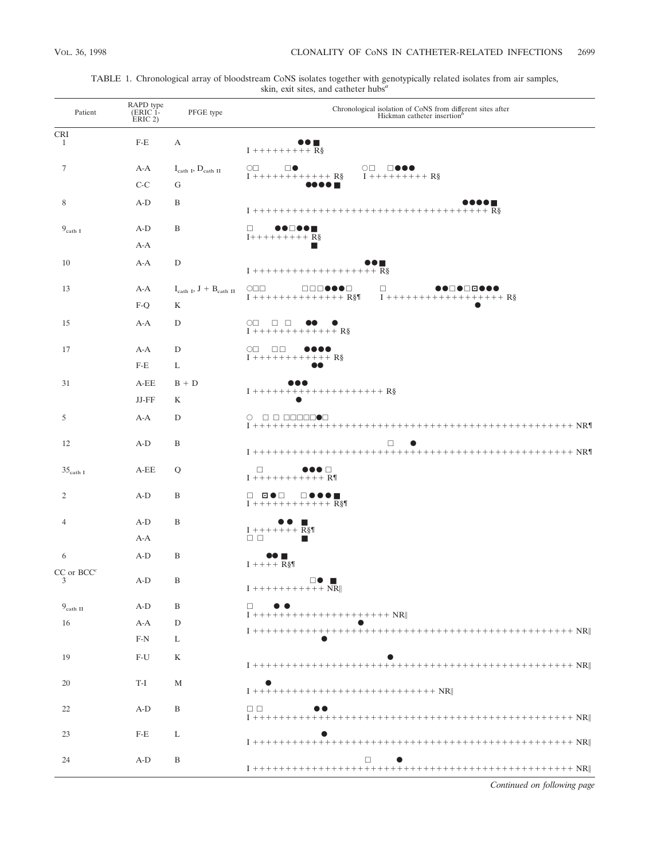| Patient                | RAPD type<br>(ERIC 1-<br>ERIC 2) | PFGE type                                            | Chronological isolation of CoNS from different sites after<br>Hickman catheter insertion <sup>b</sup>                                                                            |
|------------------------|----------------------------------|------------------------------------------------------|----------------------------------------------------------------------------------------------------------------------------------------------------------------------------------|
| <b>CRI</b><br>1        | $F-E$                            | А                                                    |                                                                                                                                                                                  |
|                        |                                  |                                                      | $I + + + + + + + +$ R§                                                                                                                                                           |
| $\tau$                 | A-A                              | $I_{\text{cath I}}, D_{\text{cath II}}$              | $\circ$<br>$\square\bullet$<br>$\begin{array}{ll}\n\bigcirc \Box & \Box \bullet \bullet \bullet \\ I \ + \ + \ + \ + \ + \ + \ + \ + \ R \S\n\end{array}$<br>$I$ ++++++++++++ R§ |
|                        | $C-C$                            | G                                                    |                                                                                                                                                                                  |
| 8                      | $A-D$                            | B                                                    |                                                                                                                                                                                  |
| $9_{\text{cath I}}$    | $A-D$                            | B                                                    | $\Box$<br>$I + + + + + + + +$ R§                                                                                                                                                 |
|                        | A-A                              |                                                      | ■                                                                                                                                                                                |
| 10                     | A-A                              | D                                                    | $\mathbf{I}\ ++++++++++++++++++++\mathbf{R}\S\label{eq:reduced}$                                                                                                                 |
| 13                     | A-A                              | $I_{\mathrm{cath\ I}},\,J\,+\,B_{\mathrm{cath\ II}}$ | $\circ$<br>□□□●●●□<br>$\Box$<br>●●□●□□●●●<br>$\overline{1}$ + + + + + + + + + + + + + + + R§¶<br>$I$ ++++++++++++++++++ R§                                                       |
|                        | $F-Q$                            | K                                                    |                                                                                                                                                                                  |
| 15                     | $A-A$                            | D                                                    | $\circ \square \quad \square \quad \square$<br>$I$ +++++++++++++ R§                                                                                                              |
| 17                     | $A-A$                            | D                                                    | $\circ \Box \quad \Box \Box$<br>$I + + + + + + + + + + +$ R§                                                                                                                     |
|                        | $F-E$                            | L                                                    |                                                                                                                                                                                  |
| 31                     | A-EE                             | $B + D$                                              | $I$ ++++++++++++++++++++ R§                                                                                                                                                      |
|                        | JJ-FF                            | K                                                    |                                                                                                                                                                                  |
| 5                      | $A-A$                            | D                                                    | $\circ$<br>O O OCOOOOO                                                                                                                                                           |
| 12                     | $A-D$                            | B                                                    | $\Box$                                                                                                                                                                           |
| $35_{\text{cath I}}$   | A-EE                             | Q                                                    | □<br>●●● □<br>$I + + + + + + + + + +$ R                                                                                                                                          |
| $\overline{c}$         | $A-D$                            | B                                                    | □□□●□<br>□●●●■<br>$I + + + + + + + + + + +$ R§                                                                                                                                   |
| 4                      | $A-D$                            | B                                                    | ■                                                                                                                                                                                |
|                        | A-A                              |                                                      | $I + + + + + + + R$ §¶<br>$\Box$ $\Box$<br>■                                                                                                                                     |
| 6                      | $A-D$                            | B                                                    | $I + + + + R$ §¶                                                                                                                                                                 |
| $CC$ or $BCC^{c}$<br>3 | $A-D$                            | B                                                    | $\Box \bullet$ $\blacksquare$<br>$\textbf{I}$ +++++++++++ $\textbf{NR}\Vert$                                                                                                     |
| $9_{\text{cath II}}$   | $A-D$                            | B                                                    | $\Box$                                                                                                                                                                           |
| 16                     | $A-A$                            | D                                                    | $I + + + + + + + + + + + + + + + + + + + + + +$ NR                                                                                                                               |
|                        | $F-N$                            | L                                                    |                                                                                                                                                                                  |
| 19                     | $F-U$                            | K                                                    |                                                                                                                                                                                  |
| 20                     | T-I                              | M                                                    | $I + + + + + + + + + + + + + + + + + + + + + + + + + + +$                                                                                                                        |
| 22                     | $A-D$                            | B                                                    | $\Box$                                                                                                                                                                           |
| 23                     | $F-E$                            | L                                                    |                                                                                                                                                                                  |
| 24                     | $A-D$                            | B                                                    | $\Box$                                                                                                                                                                           |

# TABLE 1. Chronological array of bloodstream CoNS isolates together with genotypically related isolates from air samples, skin, exit sites, and catheter hubs*<sup>a</sup>*

*Continued on following page*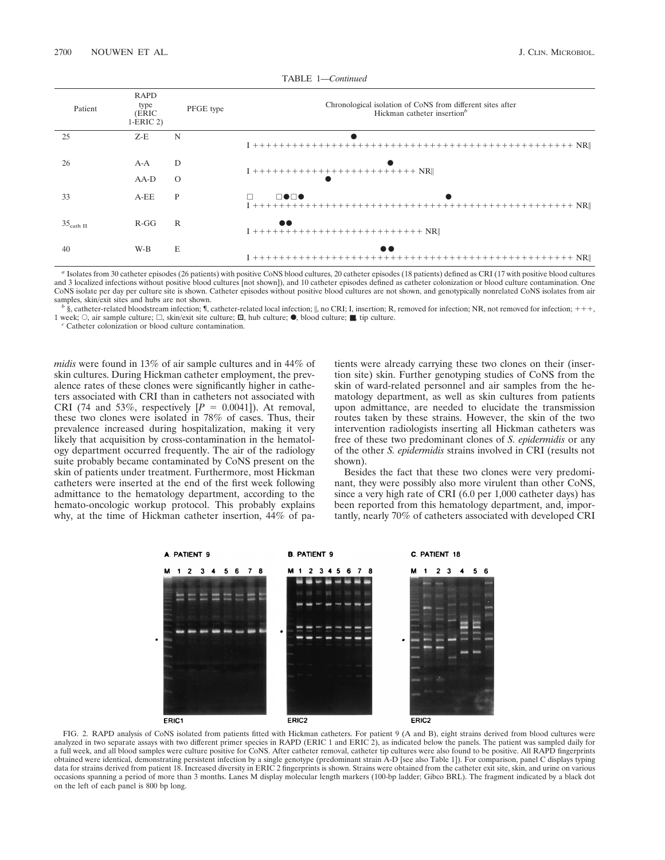| Patient               | <b>RAPD</b><br>type<br>(ERIC<br>$1-ERIC 2$ | PFGE type    | Chronological isolation of CoNS from different sites after<br>Hickman catheter insertion <sup>b</sup> |
|-----------------------|--------------------------------------------|--------------|-------------------------------------------------------------------------------------------------------|
| 25                    | $Z-E$                                      | N            |                                                                                                       |
| 26                    | A-A                                        | D            | $I + + + + + + + + + + + + + + + + + + + + + + + + + +$                                               |
|                       | $AA-D$                                     | $\Omega$     |                                                                                                       |
| 33                    | $A-EE$                                     | P            | $\Box\bullet\Box\bullet$                                                                              |
| $35_{\text{cath II}}$ | $R-GG$                                     | $\mathbb{R}$ | $\bullet\bullet$                                                                                      |
| 40                    | W-B                                        | E            |                                                                                                       |

TABLE 1—*Continued*

*<sup>a</sup>* Isolates from 30 catheter episodes (26 patients) with positive CoNS blood cultures, 20 catheter episodes (18 patients) defined as CRI (17 with positive blood cultures and 3 localized infections without positive blood cultures [not shown]), and 10 catheter episodes defined as catheter colonization or blood culture contamination. One CoNS isolate per day per culture site is shown. Catheter episodes without positive blood cultures are not shown, and genotypically nonrelated CoNS isolates from air samples, skin/exit sites and hubs are not shown.

 $\frac{b}{s}$ , catheter-related bloodstream infection; *f*, catheter-related local infection; ||, no CRI; I, insertion; R, removed for infection; NR, not removed for infection; +++, 1 week; <sup>E</sup>, air sample culture; <sup>h</sup>, skin/exit site culture; <sup>å</sup>, hub culture; <sup>F</sup>, blood culture; ■, tip culture. *<sup>c</sup>* Catheter colonization or blood culture contamination.

*midis* were found in 13% of air sample cultures and in 44% of skin cultures. During Hickman catheter employment, the prevalence rates of these clones were significantly higher in catheters associated with CRI than in catheters not associated with CRI (74 and 53%, respectively  $[P = 0.0041]$ ). At removal, these two clones were isolated in 78% of cases. Thus, their prevalence increased during hospitalization, making it very likely that acquisition by cross-contamination in the hematology department occurred frequently. The air of the radiology suite probably became contaminated by CoNS present on the skin of patients under treatment. Furthermore, most Hickman catheters were inserted at the end of the first week following admittance to the hematology department, according to the hemato-oncologic workup protocol. This probably explains why, at the time of Hickman catheter insertion, 44% of patients were already carrying these two clones on their (insertion site) skin. Further genotyping studies of CoNS from the skin of ward-related personnel and air samples from the hematology department, as well as skin cultures from patients upon admittance, are needed to elucidate the transmission routes taken by these strains. However, the skin of the two intervention radiologists inserting all Hickman catheters was free of these two predominant clones of *S. epidermidis* or any of the other *S. epidermidis* strains involved in CRI (results not shown).

Besides the fact that these two clones were very predominant, they were possibly also more virulent than other CoNS, since a very high rate of CRI (6.0 per 1,000 catheter days) has been reported from this hematology department, and, importantly, nearly 70% of catheters associated with developed CRI



FIG. 2. RAPD analysis of CoNS isolated from patients fitted with Hickman catheters. For patient 9 (A and B), eight strains derived from blood cultures were analyzed in two separate assays with two different primer species in RAPD (ERIC 1 and ERIC 2), as indicated below the panels. The patient was sampled daily for a full week, and all blood samples were culture positive for CoNS. After catheter removal, catheter tip cultures were also found to be positive. All RAPD fingerprints obtained were identical, demonstrating persistent infection by a single genotype (predominant strain A-D [see also Table 1]). For comparison, panel C displays typing data for strains derived from patient 18. Increased diversity in ERIC 2 fingerprints is shown. Strains were obtained from the catheter exit site, skin, and urine on various occasions spanning a period of more than 3 months. Lanes M display molecular length markers (100-bp ladder; Gibco BRL). The fragment indicated by a black dot on the left of each panel is 800 bp long.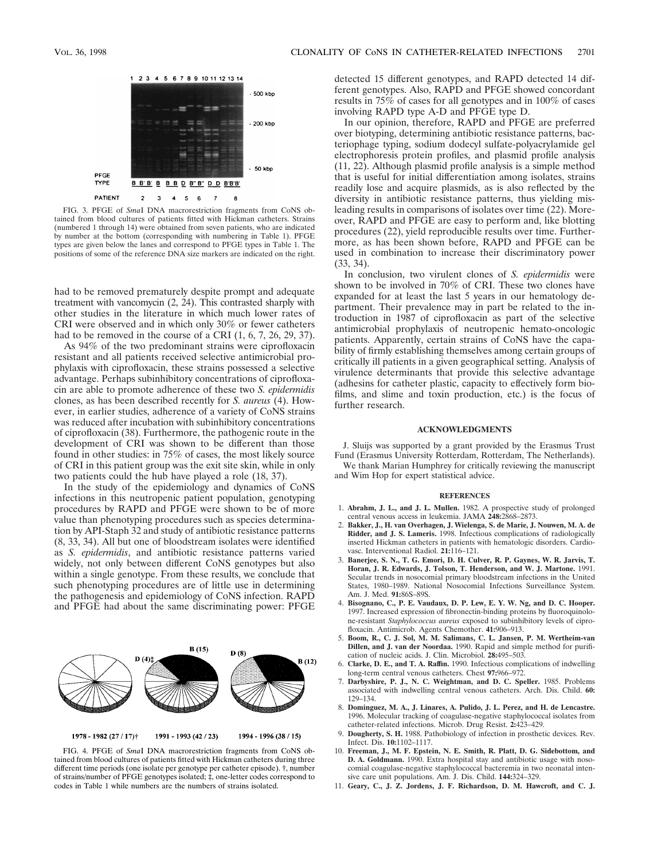

FIG. 3. PFGE of *Sma*I DNA macrorestriction fragments from CoNS obtained from blood cultures of patients fitted with Hickman catheters. Strains (numbered 1 through 14) were obtained from seven patients, who are indicated by number at the bottom (corresponding with numbering in Table 1). PFGE types are given below the lanes and correspond to PFGE types in Table 1. The positions of some of the reference DNA size markers are indicated on the right.

had to be removed prematurely despite prompt and adequate treatment with vancomycin (2, 24). This contrasted sharply with other studies in the literature in which much lower rates of CRI were observed and in which only 30% or fewer catheters had to be removed in the course of a CRI  $(1, 6, 7, 26, 29, 37)$ .

As 94% of the two predominant strains were ciprofloxacin resistant and all patients received selective antimicrobial prophylaxis with ciprofloxacin, these strains possessed a selective advantage. Perhaps subinhibitory concentrations of ciprofloxacin are able to promote adherence of these two *S. epidermidis* clones, as has been described recently for *S. aureus* (4). However, in earlier studies, adherence of a variety of CoNS strains was reduced after incubation with subinhibitory concentrations of ciprofloxacin (38). Furthermore, the pathogenic route in the development of CRI was shown to be different than those found in other studies: in 75% of cases, the most likely source of CRI in this patient group was the exit site skin, while in only two patients could the hub have played a role (18, 37).

In the study of the epidemiology and dynamics of CoNS infections in this neutropenic patient population, genotyping procedures by RAPD and PFGE were shown to be of more value than phenotyping procedures such as species determination by API-Staph 32 and study of antibiotic resistance patterns (8, 33, 34). All but one of bloodstream isolates were identified as *S. epidermidis*, and antibiotic resistance patterns varied widely, not only between different CoNS genotypes but also within a single genotype. From these results, we conclude that such phenotyping procedures are of little use in determining the pathogenesis and epidemiology of CoNS infection. RAPD and PFGE had about the same discriminating power: PFGE



FIG. 4. PFGE of *Sma*I DNA macrorestriction fragments from CoNS obtained from blood cultures of patients fitted with Hickman catheters during three different time periods (one isolate per genotype per catheter episode). †, number of strains/number of PFGE genotypes isolated; ‡, one-letter codes correspond to codes in Table 1 while numbers are the numbers of strains isolated.

detected 15 different genotypes, and RAPD detected 14 different genotypes. Also, RAPD and PFGE showed concordant results in 75% of cases for all genotypes and in 100% of cases involving RAPD type A-D and PFGE type D.

In our opinion, therefore, RAPD and PFGE are preferred over biotyping, determining antibiotic resistance patterns, bacteriophage typing, sodium dodecyl sulfate-polyacrylamide gel electrophoresis protein profiles, and plasmid profile analysis (11, 22). Although plasmid profile analysis is a simple method that is useful for initial differentiation among isolates, strains readily lose and acquire plasmids, as is also reflected by the diversity in antibiotic resistance patterns, thus yielding misleading results in comparisons of isolates over time (22). Moreover, RAPD and PFGE are easy to perform and, like blotting procedures (22), yield reproducible results over time. Furthermore, as has been shown before, RAPD and PFGE can be used in combination to increase their discriminatory power (33, 34).

In conclusion, two virulent clones of *S. epidermidis* were shown to be involved in 70% of CRI. These two clones have expanded for at least the last 5 years in our hematology department. Their prevalence may in part be related to the introduction in 1987 of ciprofloxacin as part of the selective antimicrobial prophylaxis of neutropenic hemato-oncologic patients. Apparently, certain strains of CoNS have the capability of firmly establishing themselves among certain groups of critically ill patients in a given geographical setting. Analysis of virulence determinants that provide this selective advantage (adhesins for catheter plastic, capacity to effectively form biofilms, and slime and toxin production, etc.) is the focus of further research.

#### **ACKNOWLEDGMENTS**

J. Sluijs was supported by a grant provided by the Erasmus Trust Fund (Erasmus University Rotterdam, Rotterdam, The Netherlands).

We thank Marian Humphrey for critically reviewing the manuscript and Wim Hop for expert statistical advice.

#### **REFERENCES**

- 1. **Abrahm, J. L., and J. L. Mullen.** 1982. A prospective study of prolonged central venous access in leukemia. JAMA **248:**2868–2873.
- 2. **Bakker, J., H. van Overhagen, J. Wielenga, S. de Marie, J. Nouwen, M. A. de Ridder, and J. S. Lameris.** 1998. Infectious complications of radiologically inserted Hickman catheters in patients with hematologic disorders. Cardiovasc. Interventional Radiol. **21:**116–121.
- 3. **Banerjee, S. N., T. G. Emori, D. H. Culver, R. P. Gaynes, W. R. Jarvis, T. Horan, J. R. Edwards, J. Tolson, T. Henderson, and W. J. Martone.** 1991. Secular trends in nosocomial primary bloodstream infections in the United States, 1980–1989. National Nosocomial Infections Surveillance System. Am. J. Med. **91:**86S–89S.
- 4. **Bisognano, C., P. E. Vaudaux, D. P. Lew, E. Y. W. Ng, and D. C. Hooper.** 1997. Increased expression of fibronectin-binding proteins by fluoroquinolone-resistant *Staphylococcus aureus* exposed to subinhibitory levels of ciprofloxacin. Antimicrob. Agents Chemother. **41:**906–913.
- 5. **Boom, R., C. J. Sol, M. M. Salimans, C. L. Jansen, P. M. Wertheim-van Dillen, and J. van der Noordaa.** 1990. Rapid and simple method for purification of nucleic acids. J. Clin. Microbiol. **28:**495–503.
- 6. **Clarke, D. E., and T. A. Raffin.** 1990. Infectious complications of indwelling long-term central venous catheters. Chest **97:**966–972.
- 7. **Darbyshire, P. J., N. C. Weightman, and D. C. Speller.** 1985. Problems associated with indwelling central venous catheters. Arch. Dis. Child. **60:** 129–134.
- 8. **Dominguez, M. A., J. Linares, A. Pulido, J. L. Perez, and H. de Lencastre.** 1996. Molecular tracking of coagulase-negative staphylococcal isolates from catheter-related infections. Microb. Drug Resist. **2:**423–429.
- 9. **Dougherty, S. H.** 1988. Pathobiology of infection in prosthetic devices. Rev. Infect. Dis. **10:**1102–1117.
- 10. **Freeman, J., M. F. Epstein, N. E. Smith, R. Platt, D. G. Sidebottom, and D. A. Goldmann.** 1990. Extra hospital stay and antibiotic usage with nosocomial coagulase-negative staphylococcal bacteremia in two neonatal intensive care unit populations. Am. J. Dis. Child. **144:**324–329.
- 11. **Geary, C., J. Z. Jordens, J. F. Richardson, D. M. Hawcroft, and C. J.**